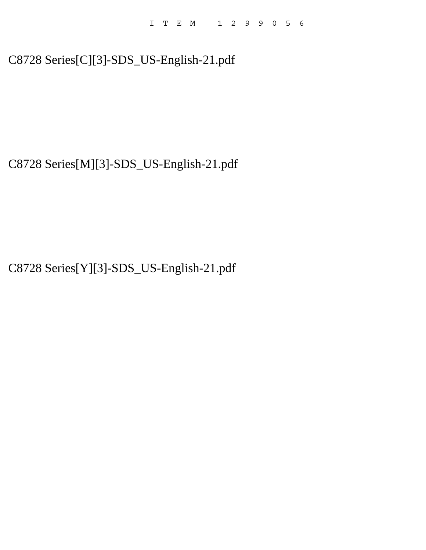# C8728 Series[C][3]-SDS\_US-English-21.pdf

C8728 Series[M][3]-SDS\_US-English-21.pdf

C8728 Series[Y][3]-SDS\_US-English-21.pdf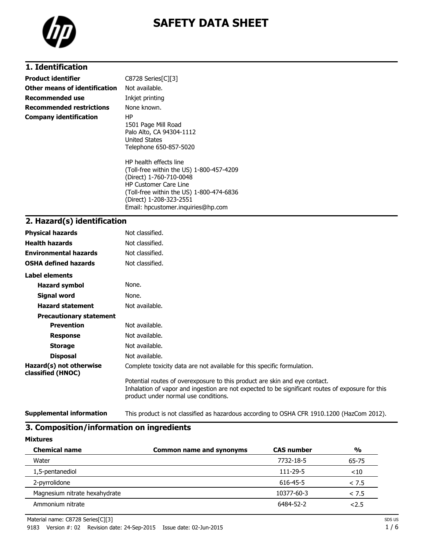

# **SAFETY DATA SHEET**

# **1. Identification**

| <b>Product identifier</b>       | C8728 Series[C][3]                                                                                                                                                                                                                         |
|---------------------------------|--------------------------------------------------------------------------------------------------------------------------------------------------------------------------------------------------------------------------------------------|
| Other means of identification   | Not available.                                                                                                                                                                                                                             |
| Recommended use                 | Inkjet printing                                                                                                                                                                                                                            |
| <b>Recommended restrictions</b> | None known.                                                                                                                                                                                                                                |
| <b>Company identification</b>   | ΗP<br>1501 Page Mill Road<br>Palo Alto, CA 94304-1112<br>United States<br>Telephone 650-857-5020                                                                                                                                           |
|                                 | HP health effects line<br>(Toll-free within the US) 1-800-457-4209<br>(Direct) 1-760-710-0048<br><b>HP Customer Care Line</b><br>(Toll-free within the US) 1-800-474-6836<br>(Direct) 1-208-323-2551<br>Email: hpcustomer.inquiries@hp.com |

# **2. Hazard(s) identification**

| <b>Physical hazards</b>                      | Not classified.                                                                                                                                                                                                        |
|----------------------------------------------|------------------------------------------------------------------------------------------------------------------------------------------------------------------------------------------------------------------------|
| <b>Health hazards</b>                        | Not classified.                                                                                                                                                                                                        |
| <b>Environmental hazards</b>                 | Not classified.                                                                                                                                                                                                        |
| <b>OSHA defined hazards</b>                  | Not classified.                                                                                                                                                                                                        |
| Label elements                               |                                                                                                                                                                                                                        |
| <b>Hazard symbol</b>                         | None.                                                                                                                                                                                                                  |
| Signal word                                  | None.                                                                                                                                                                                                                  |
| <b>Hazard statement</b>                      | Not available.                                                                                                                                                                                                         |
| <b>Precautionary statement</b>               |                                                                                                                                                                                                                        |
| <b>Prevention</b>                            | Not available.                                                                                                                                                                                                         |
| <b>Response</b>                              | Not available.                                                                                                                                                                                                         |
| <b>Storage</b>                               | Not available.                                                                                                                                                                                                         |
| <b>Disposal</b>                              | Not available.                                                                                                                                                                                                         |
| Hazard(s) not otherwise<br>classified (HNOC) | Complete toxicity data are not available for this specific formulation.                                                                                                                                                |
|                                              | Potential routes of overexposure to this product are skin and eye contact.<br>Inhalation of vapor and ingestion are not expected to be significant routes of exposure for this<br>product under normal use conditions. |

**Supplemental information** This product is not classified as hazardous according to OSHA CFR 1910.1200 (HazCom 2012).

# **3. Composition/information on ingredients**

**Mixtures**

| <b>Chemical name</b>          | Common name and synonyms | <b>CAS number</b> | $\frac{0}{0}$ |
|-------------------------------|--------------------------|-------------------|---------------|
| Water                         |                          | 7732-18-5         | 65-75         |
| 1,5-pentanediol               |                          | $111 - 29 - 5$    | ~10           |
| 2-pyrrolidone                 |                          | 616-45-5          | < 7.5         |
| Magnesium nitrate hexahydrate |                          | 10377-60-3        | < 7.5         |
| Ammonium nitrate              |                          | 6484-52-2         | 2.5           |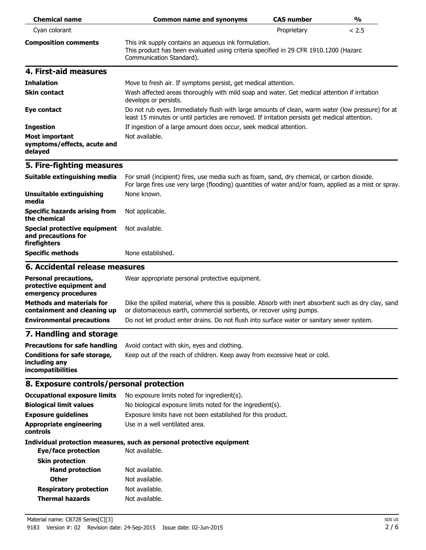| <b>Chemical name</b>                                                             | <b>Common name and synonyms</b>                                                                                                                                                                       | <b>CAS number</b> | $\frac{1}{2}$ |
|----------------------------------------------------------------------------------|-------------------------------------------------------------------------------------------------------------------------------------------------------------------------------------------------------|-------------------|---------------|
| Cyan colorant                                                                    |                                                                                                                                                                                                       | Proprietary       | < 2.5         |
| <b>Composition comments</b>                                                      | This ink supply contains an aqueous ink formulation.<br>This product has been evaluated using criteria specified in 29 CFR 1910.1200 (Hazard<br>Communication Standard).                              |                   |               |
| 4. First-aid measures                                                            |                                                                                                                                                                                                       |                   |               |
| <b>Inhalation</b>                                                                | Move to fresh air. If symptoms persist, get medical attention.                                                                                                                                        |                   |               |
| <b>Skin contact</b>                                                              | Wash affected areas thoroughly with mild soap and water. Get medical attention if irritation<br>develops or persists.                                                                                 |                   |               |
| Eye contact                                                                      | Do not rub eyes. Immediately flush with large amounts of clean, warm water (low pressure) for at<br>least 15 minutes or until particles are removed. If irritation persists get medical attention.    |                   |               |
| <b>Ingestion</b>                                                                 | If ingestion of a large amount does occur, seek medical attention.                                                                                                                                    |                   |               |
| Most important<br>symptoms/effects, acute and<br>delayed                         | Not available.                                                                                                                                                                                        |                   |               |
| 5. Fire-fighting measures                                                        |                                                                                                                                                                                                       |                   |               |
| Suitable extinguishing media                                                     | For small (incipient) fires, use media such as foam, sand, dry chemical, or carbon dioxide.<br>For large fires use very large (flooding) quantities of water and/or foam, applied as a mist or spray. |                   |               |
| <b>Unsuitable extinguishing</b><br>media                                         | None known.                                                                                                                                                                                           |                   |               |
| <b>Specific hazards arising from</b><br>the chemical                             | Not applicable.                                                                                                                                                                                       |                   |               |
| <b>Special protective equipment</b><br>and precautions for<br>firefighters       | Not available.                                                                                                                                                                                        |                   |               |
| <b>Specific methods</b>                                                          | None established.                                                                                                                                                                                     |                   |               |
| 6. Accidental release measures                                                   |                                                                                                                                                                                                       |                   |               |
| <b>Personal precautions,</b><br>protective equipment and<br>emergency procedures | Wear appropriate personal protective equipment.                                                                                                                                                       |                   |               |
| <b>Methods and materials for</b><br>containment and cleaning up                  | Dike the spilled material, where this is possible. Absorb with inert absorbent such as dry clay, sand<br>or diatomaceous earth, commercial sorbents, or recover using pumps.                          |                   |               |
| <b>Environmental precautions</b>                                                 | Do not let product enter drains. Do not flush into surface water or sanitary sewer system.                                                                                                            |                   |               |
| 7. Handling and storage                                                          |                                                                                                                                                                                                       |                   |               |
| <b>Precautions for safe handling</b>                                             | Avoid contact with skin, eyes and clothing.                                                                                                                                                           |                   |               |
| <b>Conditions for safe storage,</b><br>including any<br>incompatibilities        | Keep out of the reach of children. Keep away from excessive heat or cold.                                                                                                                             |                   |               |
| 8. Exposure controls/personal protection                                         |                                                                                                                                                                                                       |                   |               |
| <b>Occupational exposure limits</b>                                              | No exposure limits noted for ingredient(s).                                                                                                                                                           |                   |               |
| <b>Biological limit values</b>                                                   | No biological exposure limits noted for the ingredient(s).                                                                                                                                            |                   |               |
| <b>Exposure guidelines</b>                                                       | Exposure limits have not been established for this product.                                                                                                                                           |                   |               |
| <b>Appropriate engineering</b><br>controls                                       | Use in a well ventilated area.                                                                                                                                                                        |                   |               |
|                                                                                  | Individual protection measures, such as personal protective equipment                                                                                                                                 |                   |               |
| <b>Eye/face protection</b>                                                       | Not available.                                                                                                                                                                                        |                   |               |
| <b>Skin protection</b>                                                           |                                                                                                                                                                                                       |                   |               |
| <b>Hand protection</b>                                                           | Not available.                                                                                                                                                                                        |                   |               |
| <b>Other</b>                                                                     | Not available.                                                                                                                                                                                        |                   |               |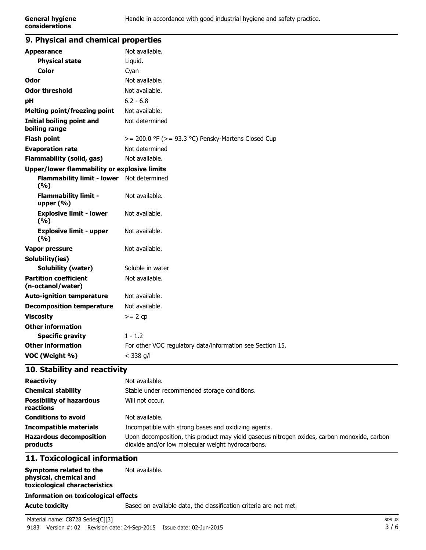| 9. Physical and chemical properties               |                                                           |
|---------------------------------------------------|-----------------------------------------------------------|
| <b>Appearance</b>                                 | Not available.                                            |
| <b>Physical state</b>                             | Liquid.                                                   |
| Color                                             | Cyan                                                      |
| Odor                                              | Not available.                                            |
| <b>Odor threshold</b>                             | Not available.                                            |
| рH                                                | $6.2 - 6.8$                                               |
| <b>Melting point/freezing point</b>               | Not available.                                            |
| Initial boiling point and<br>boiling range        | Not determined                                            |
| <b>Flash point</b>                                | $>= 200.0$ °F ( $>= 93.3$ °C) Pensky-Martens Closed Cup   |
| <b>Evaporation rate</b>                           | Not determined                                            |
| <b>Flammability (solid, gas)</b>                  | Not available.                                            |
| Upper/lower flammability or explosive limits      |                                                           |
| Flammability limit - lower Not determined<br>(%)  |                                                           |
| <b>Flammability limit -</b><br>upper $(% )$       | Not available.                                            |
| <b>Explosive limit - lower</b><br>(9/6)           | Not available.                                            |
| <b>Explosive limit - upper</b><br>(%)             | Not available.                                            |
| <b>Vapor pressure</b>                             | Not available.                                            |
| Solubility(ies)                                   |                                                           |
| <b>Solubility (water)</b>                         | Soluble in water                                          |
| <b>Partition coefficient</b><br>(n-octanol/water) | Not available.                                            |
| <b>Auto-ignition temperature</b>                  | Not available.                                            |
| <b>Decomposition temperature</b>                  | Not available.                                            |
| <b>Viscosity</b>                                  | $>= 2 cp$                                                 |
| <b>Other information</b>                          |                                                           |
| <b>Specific gravity</b>                           | $1 - 1.2$                                                 |
| <b>Other information</b>                          | For other VOC regulatory data/information see Section 15. |
| VOC (Weight %)                                    | $<$ 338 g/l                                               |
|                                                   |                                                           |

# **10. Stability and reactivity Reactivity** Not available.

| <b>REACLIVILY</b>                            | nvu avallable.                                                                                                                                   |
|----------------------------------------------|--------------------------------------------------------------------------------------------------------------------------------------------------|
| <b>Chemical stability</b>                    | Stable under recommended storage conditions.                                                                                                     |
| <b>Possibility of hazardous</b><br>reactions | Will not occur.                                                                                                                                  |
| <b>Conditions to avoid</b>                   | Not available.                                                                                                                                   |
| <b>Incompatible materials</b>                | Incompatible with strong bases and oxidizing agents.                                                                                             |
| <b>Hazardous decomposition</b><br>products   | Upon decomposition, this product may yield gaseous nitrogen oxides, carbon monoxide, carbon<br>dioxide and/or low molecular weight hydrocarbons. |
|                                              |                                                                                                                                                  |

# **11. Toxicological information**

| Symptoms related to the<br>physical, chemical and<br>toxicological characteristics | Not available. |
|------------------------------------------------------------------------------------|----------------|
| <b>Information on toxicological effects</b>                                        |                |

**Acute toxicity** Based on available data, the classification criteria are not met.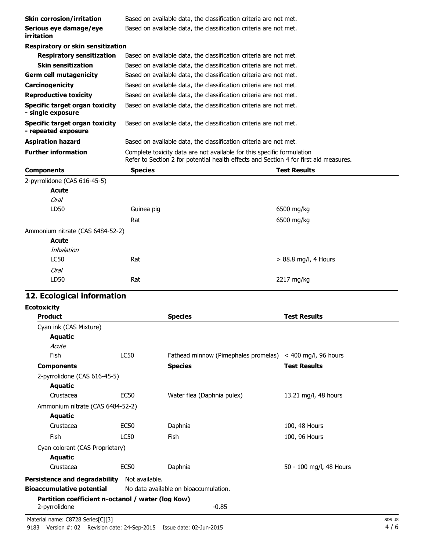| <b>Skin corrosion/irritation</b>                             | Based on available data, the classification criteria are not met.                     |                        |
|--------------------------------------------------------------|---------------------------------------------------------------------------------------|------------------------|
| Serious eye damage/eye<br>irritation                         | Based on available data, the classification criteria are not met.                     |                        |
| <b>Respiratory or skin sensitization</b>                     |                                                                                       |                        |
| <b>Respiratory sensitization</b>                             | Based on available data, the classification criteria are not met.                     |                        |
| <b>Skin sensitization</b>                                    | Based on available data, the classification criteria are not met.                     |                        |
| <b>Germ cell mutagenicity</b>                                | Based on available data, the classification criteria are not met.                     |                        |
| Carcinogenicity                                              | Based on available data, the classification criteria are not met.                     |                        |
| <b>Reproductive toxicity</b>                                 | Based on available data, the classification criteria are not met.                     |                        |
| <b>Specific target organ toxicity</b><br>- single exposure   | Based on available data, the classification criteria are not met.                     |                        |
| <b>Specific target organ toxicity</b><br>- repeated exposure | Based on available data, the classification criteria are not met.                     |                        |
| <b>Aspiration hazard</b>                                     | Based on available data, the classification criteria are not met.                     |                        |
| <b>Further information</b>                                   | Complete toxicity data are not available for this specific formulation                |                        |
|                                                              | Refer to Section 2 for potential health effects and Section 4 for first aid measures. |                        |
| <b>Components</b>                                            | <b>Species</b>                                                                        | <b>Test Results</b>    |
| 2-pyrrolidone (CAS 616-45-5)                                 |                                                                                       |                        |
| Acute                                                        |                                                                                       |                        |
| Oral                                                         |                                                                                       |                        |
| LD50                                                         | Guinea pig                                                                            | 6500 mg/kg             |
|                                                              | Rat                                                                                   | 6500 mg/kg             |
| Ammonium nitrate (CAS 6484-52-2)                             |                                                                                       |                        |
| Acute                                                        |                                                                                       |                        |
| Inhalation                                                   |                                                                                       |                        |
| <b>LC50</b>                                                  | Rat                                                                                   | $> 88.8$ mg/l, 4 Hours |
| Oral                                                         |                                                                                       |                        |
| LD50                                                         | Rat                                                                                   | 2217 mg/kg             |

#### **12. Ecological information**

| <b>Ecotoxicity</b>                                                 |                  |                                                                |                         |
|--------------------------------------------------------------------|------------------|----------------------------------------------------------------|-------------------------|
| <b>Product</b>                                                     |                  | <b>Species</b>                                                 | <b>Test Results</b>     |
| Cyan ink (CAS Mixture)                                             |                  |                                                                |                         |
| Aquatic                                                            |                  |                                                                |                         |
| Acute                                                              |                  |                                                                |                         |
| Fish                                                               | <b>LC50</b>      | Fathead minnow (Pimephales promelas) $\leq$ 400 mg/l, 96 hours |                         |
| <b>Components</b>                                                  |                  | <b>Species</b>                                                 | <b>Test Results</b>     |
| 2-pyrrolidone (CAS 616-45-5)                                       |                  |                                                                |                         |
| Aquatic                                                            |                  |                                                                |                         |
| Crustacea                                                          | EC <sub>50</sub> | Water flea (Daphnia pulex)                                     | 13.21 mg/l, 48 hours    |
| Ammonium nitrate (CAS 6484-52-2)                                   |                  |                                                                |                         |
| <b>Aquatic</b>                                                     |                  |                                                                |                         |
| Crustacea                                                          | <b>EC50</b>      | Daphnia                                                        | 100, 48 Hours           |
| <b>Fish</b>                                                        | <b>LC50</b>      | Fish                                                           | 100, 96 Hours           |
| Cyan colorant (CAS Proprietary)                                    |                  |                                                                |                         |
| Aquatic                                                            |                  |                                                                |                         |
| Crustacea                                                          | EC <sub>50</sub> | Daphnia                                                        | 50 - 100 mg/l, 48 Hours |
| Persistence and degradability                                      | Not available.   |                                                                |                         |
| <b>Bioaccumulative potential</b>                                   |                  | No data available on bioaccumulation.                          |                         |
| Partition coefficient n-octanol / water (log Kow)<br>2-pyrrolidone |                  | $-0.85$                                                        |                         |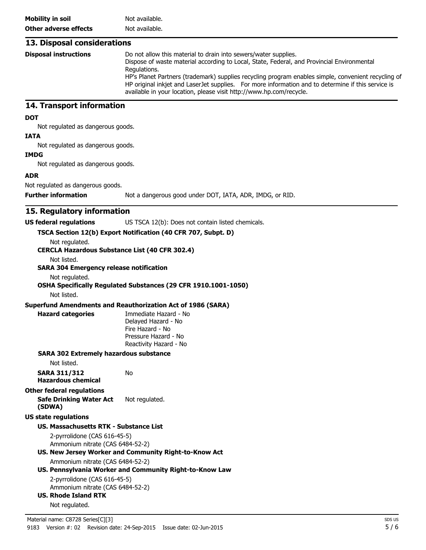#### **13. Disposal considerations Disposal instructions** Do not allow this material to drain into sewers/water supplies. Dispose of waste material according to Local, State, Federal, and Provincial Environmental Regulations. HP's Planet Partners (trademark) supplies recycling program enables simple, convenient recycling of HP original inkjet and LaserJet supplies. For more information and to determine if this service is available in your location, please visit http://www.hp.com/recycle.

## **14. Transport information**

#### **DOT**

Not regulated as dangerous goods.

#### **IATA**

Not regulated as dangerous goods.

#### **IMDG**

Not regulated as dangerous goods.

#### **ADR**

Not regulated as dangerous goods.

**Further information** Not a dangerous good under DOT, IATA, ADR, IMDG, or RID.

#### **15. Regulatory information**

#### **US federal regulations** US TSCA 12(b): Does not contain listed chemicals.

#### **TSCA Section 12(b) Export Notification (40 CFR 707, Subpt. D)**

Not regulated.

**CERCLA Hazardous Substance List (40 CFR 302.4)**

Not listed.

#### **SARA 304 Emergency release notification**

Not regulated.

**OSHA Specifically Regulated Substances (29 CFR 1910.1001-1050)**

Not listed.

#### **Superfund Amendments and Reauthorization Act of 1986 (SARA)**

No

**Hazard categories** Immediate Hazard - No Delayed Hazard - No Fire Hazard - No Pressure Hazard - No Reactivity Hazard - No

#### **SARA 302 Extremely hazardous substance**

Not listed.

| SARA 311/312 |                    |  |
|--------------|--------------------|--|
|              | Hazardous chemical |  |

## **Other federal regulations**

**Safe Drinking Water Act (SDWA)** Not regulated.

#### **US state regulations**

#### **US. Massachusetts RTK - Substance List**

2-pyrrolidone (CAS 616-45-5) Ammonium nitrate (CAS 6484-52-2)

# **US. New Jersey Worker and Community Right-to-Know Act**

Ammonium nitrate (CAS 6484-52-2)

# **US. Pennsylvania Worker and Community Right-to-Know Law**

2-pyrrolidone (CAS 616-45-5) Ammonium nitrate (CAS 6484-52-2)

## **US. Rhode Island RTK**

Not regulated.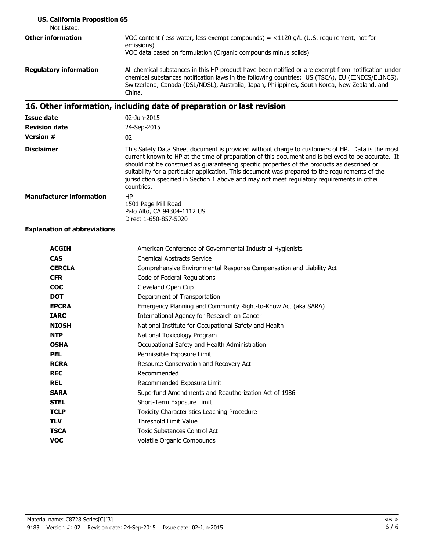| <b>US. California Proposition 65</b><br>Not Listed. |                                                                                                                                                                                                                                                                                                                                                                                                                                                                                                                      |
|-----------------------------------------------------|----------------------------------------------------------------------------------------------------------------------------------------------------------------------------------------------------------------------------------------------------------------------------------------------------------------------------------------------------------------------------------------------------------------------------------------------------------------------------------------------------------------------|
| <b>Other information</b>                            | VOC content (less water, less exempt compounds) = $<$ 1120 g/L (U.S. requirement, not for<br>emissions)<br>VOC data based on formulation (Organic compounds minus solids)                                                                                                                                                                                                                                                                                                                                            |
| <b>Regulatory information</b>                       | All chemical substances in this HP product have been notified or are exempt from notification under<br>chemical substances notification laws in the following countries: US (TSCA), EU (EINECS/ELINCS),<br>Switzerland, Canada (DSL/NDSL), Australia, Japan, Philippines, South Korea, New Zealand, and<br>China.                                                                                                                                                                                                    |
|                                                     | 16. Other information, including date of preparation or last revision                                                                                                                                                                                                                                                                                                                                                                                                                                                |
| <b>Issue date</b>                                   | 02-Jun-2015                                                                                                                                                                                                                                                                                                                                                                                                                                                                                                          |
| <b>Revision date</b>                                | 24-Sep-2015                                                                                                                                                                                                                                                                                                                                                                                                                                                                                                          |
| <b>Version #</b>                                    | 02                                                                                                                                                                                                                                                                                                                                                                                                                                                                                                                   |
| <b>Disclaimer</b>                                   | This Safety Data Sheet document is provided without charge to customers of HP. Data is the most<br>current known to HP at the time of preparation of this document and is believed to be accurate. It<br>should not be construed as guaranteeing specific properties of the products as described or<br>suitability for a particular application. This document was prepared to the requirements of the<br>jurisdiction specified in Section 1 above and may not meet regulatory requirements in other<br>countries. |
| <b>Manufacturer information</b>                     | HP<br>1501 Page Mill Road<br>Palo Alto, CA 94304-1112 US<br>Direct 1-650-857-5020                                                                                                                                                                                                                                                                                                                                                                                                                                    |

**Explanation of abbreviations**

| American Conference of Governmental Industrial Hygienists           |
|---------------------------------------------------------------------|
| <b>Chemical Abstracts Service</b>                                   |
| Comprehensive Environmental Response Compensation and Liability Act |
| Code of Federal Regulations                                         |
| Cleveland Open Cup                                                  |
| Department of Transportation                                        |
| Emergency Planning and Community Right-to-Know Act (aka SARA)       |
| International Agency for Research on Cancer                         |
| National Institute for Occupational Safety and Health               |
| National Toxicology Program                                         |
| Occupational Safety and Health Administration                       |
| Permissible Exposure Limit                                          |
| Resource Conservation and Recovery Act                              |
| Recommended                                                         |
| Recommended Exposure Limit                                          |
| Superfund Amendments and Reauthorization Act of 1986                |
| Short-Term Exposure Limit                                           |
| Toxicity Characteristics Leaching Procedure                         |
| <b>Threshold Limit Value</b>                                        |
| <b>Toxic Substances Control Act</b>                                 |
| Volatile Organic Compounds                                          |
|                                                                     |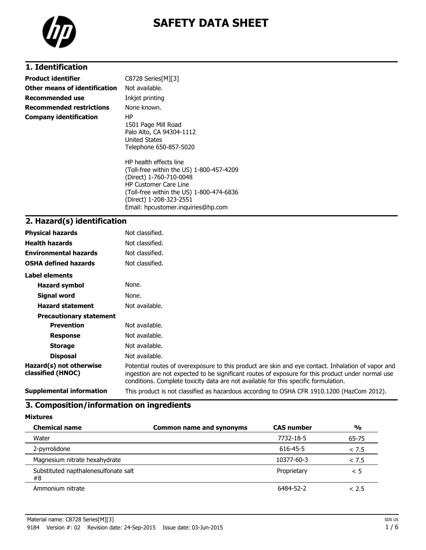

# **SAFETY DATA SHEET**

# **1. Identification**

| <b>Product identifier</b>       | C8728 Series[M][3]                                                                                                                                                                                                                         |
|---------------------------------|--------------------------------------------------------------------------------------------------------------------------------------------------------------------------------------------------------------------------------------------|
| Other means of identification   | Not available.                                                                                                                                                                                                                             |
| <b>Recommended use</b>          | Inkjet printing                                                                                                                                                                                                                            |
| <b>Recommended restrictions</b> | None known.                                                                                                                                                                                                                                |
| <b>Company identification</b>   | HP<br>1501 Page Mill Road<br>Palo Alto, CA 94304-1112<br>United States<br>Telephone 650-857-5020                                                                                                                                           |
|                                 | HP health effects line<br>(Toll-free within the US) 1-800-457-4209<br>(Direct) 1-760-710-0048<br><b>HP Customer Care Line</b><br>(Toll-free within the US) 1-800-474-6836<br>(Direct) 1-208-323-2551<br>Email: hpcustomer.inguiries@hp.com |

### **2. Hazard(s) identification**

| <b>Physical hazards</b>                      | Not classified.                                                                                                                                                                                                                                                                                |
|----------------------------------------------|------------------------------------------------------------------------------------------------------------------------------------------------------------------------------------------------------------------------------------------------------------------------------------------------|
| <b>Health hazards</b>                        | Not classified.                                                                                                                                                                                                                                                                                |
| <b>Environmental hazards</b>                 | Not classified.                                                                                                                                                                                                                                                                                |
| <b>OSHA defined hazards</b>                  | Not classified.                                                                                                                                                                                                                                                                                |
| Label elements                               |                                                                                                                                                                                                                                                                                                |
| <b>Hazard symbol</b>                         | None.                                                                                                                                                                                                                                                                                          |
| Signal word                                  | None.                                                                                                                                                                                                                                                                                          |
| <b>Hazard statement</b>                      | Not available.                                                                                                                                                                                                                                                                                 |
| <b>Precautionary statement</b>               |                                                                                                                                                                                                                                                                                                |
| <b>Prevention</b>                            | Not available.                                                                                                                                                                                                                                                                                 |
| <b>Response</b>                              | Not available.                                                                                                                                                                                                                                                                                 |
| <b>Storage</b>                               | Not available.                                                                                                                                                                                                                                                                                 |
| <b>Disposal</b>                              | Not available.                                                                                                                                                                                                                                                                                 |
| Hazard(s) not otherwise<br>classified (HNOC) | Potential routes of overexposure to this product are skin and eye contact. Inhalation of vapor and<br>ingestion are not expected to be significant routes of exposure for this product under normal use<br>conditions. Complete toxicity data are not available for this specific formulation. |
| <b>Supplemental information</b>              | This product is not classified as hazardous according to OSHA CFR 1910.1200 (HazCom 2012).                                                                                                                                                                                                     |

#### **3. Composition/information on ingredients**

| <b>Chemical name</b>                       | <b>Common name and synonyms</b> | <b>CAS number</b> | $\frac{0}{0}$ |
|--------------------------------------------|---------------------------------|-------------------|---------------|
| Water                                      |                                 | 7732-18-5         | 65-75         |
| 2-pyrrolidone                              |                                 | 616-45-5          | < 7.5         |
| Magnesium nitrate hexahydrate              |                                 | 10377-60-3        | < 7.5         |
| Substituted napthalenesulfonate salt<br>#8 |                                 | Proprietary       | < 5           |
| Ammonium nitrate                           |                                 | 6484-52-2         | < 2.5         |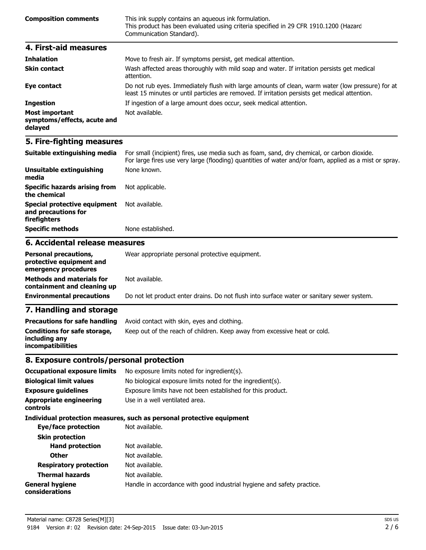| <b>Composition comments</b> | This ink supply contains an aqueous ink formulation.<br>This product has been evaluated using criteria specified in 29 CFR 1910.1200 (Hazard<br>Communication Standard). |
|-----------------------------|--------------------------------------------------------------------------------------------------------------------------------------------------------------------------|
|                             |                                                                                                                                                                          |

| 4. First-aid measures                                    |                                                                                                                                                                                                    |
|----------------------------------------------------------|----------------------------------------------------------------------------------------------------------------------------------------------------------------------------------------------------|
| <b>Inhalation</b>                                        | Move to fresh air. If symptoms persist, get medical attention.                                                                                                                                     |
| <b>Skin contact</b>                                      | Wash affected areas thoroughly with mild soap and water. If irritation persists get medical<br>attention.                                                                                          |
| Eye contact                                              | Do not rub eyes. Immediately flush with large amounts of clean, warm water (low pressure) for at<br>least 15 minutes or until particles are removed. If irritation persists get medical attention. |
| <b>Ingestion</b>                                         | If ingestion of a large amount does occur, seek medical attention.                                                                                                                                 |
| Most important<br>symptoms/effects, acute and<br>delayed | Not available.                                                                                                                                                                                     |

# **5. Fire-fighting measures**

| Suitable extinguishing media                                               | For small (incipient) fires, use media such as foam, sand, dry chemical, or carbon dioxide.<br>For large fires use very large (flooding) quantities of water and/or foam, applied as a mist or spray. |
|----------------------------------------------------------------------------|-------------------------------------------------------------------------------------------------------------------------------------------------------------------------------------------------------|
| Unsuitable extinguishing<br>media                                          | None known.                                                                                                                                                                                           |
| <b>Specific hazards arising from</b><br>the chemical                       | Not applicable.                                                                                                                                                                                       |
| <b>Special protective equipment</b><br>and precautions for<br>firefighters | Not available.                                                                                                                                                                                        |
| Specific methods                                                           | None established.                                                                                                                                                                                     |

# **6. Accidental release measures**

| <b>Personal precautions,</b><br>protective equipment and<br>emergency procedures | Wear appropriate personal protective equipment.                                            |
|----------------------------------------------------------------------------------|--------------------------------------------------------------------------------------------|
| <b>Methods and materials for</b><br>containment and cleaning up                  | Not available.                                                                             |
| <b>Environmental precautions</b>                                                 | Do not let product enter drains. Do not flush into surface water or sanitary sewer system. |

# **7. Handling and storage**

| <b>Precautions for safe handling</b>                                      | Avoid contact with skin, eyes and clothing.                               |
|---------------------------------------------------------------------------|---------------------------------------------------------------------------|
| Conditions for safe storage,<br>including any<br><i>incompatibilities</i> | Keep out of the reach of children. Keep away from excessive heat or cold. |

# **8. Exposure controls/personal protection**

| <b>Occupational exposure limits</b>        | No exposure limits noted for ingredient(s).                            |
|--------------------------------------------|------------------------------------------------------------------------|
| <b>Biological limit values</b>             | No biological exposure limits noted for the ingredient(s).             |
| <b>Exposure quidelines</b>                 | Exposure limits have not been established for this product.            |
| <b>Appropriate engineering</b><br>controls | Use in a well ventilated area.                                         |
|                                            | Individual protection measures, such as personal protective equipment  |
| Eye/face protection                        | Not available.                                                         |
| <b>Skin protection</b>                     |                                                                        |
| <b>Hand protection</b>                     | Not available.                                                         |
| <b>Other</b>                               | Not available.                                                         |
| <b>Respiratory protection</b>              | Not available.                                                         |
| <b>Thermal hazards</b>                     | Not available.                                                         |
| <b>General hygiene</b><br>considerations   | Handle in accordance with good industrial hygiene and safety practice. |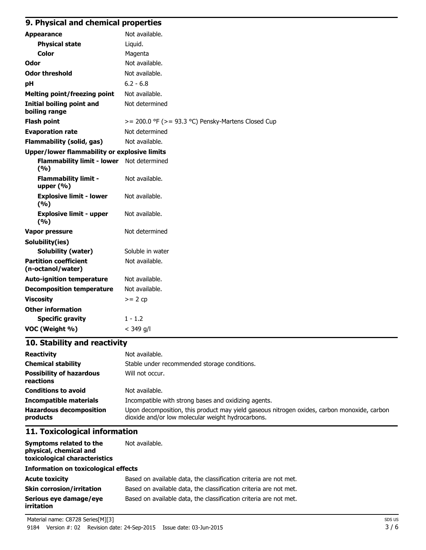# **9. Physical and chemical properties**

| <b>Appearance</b>                                   | Not available.                                          |
|-----------------------------------------------------|---------------------------------------------------------|
| <b>Physical state</b>                               | Liquid.                                                 |
| Color                                               | Magenta                                                 |
| Odor                                                | Not available.                                          |
| <b>Odor threshold</b>                               | Not available.                                          |
| рH                                                  | $6.2 - 6.8$                                             |
| <b>Melting point/freezing point</b>                 | Not available.                                          |
| <b>Initial boiling point and</b><br>boiling range   | Not determined                                          |
| <b>Flash point</b>                                  | $>= 200.0$ °F ( $>= 93.3$ °C) Pensky-Martens Closed Cup |
| <b>Evaporation rate</b>                             | Not determined                                          |
| <b>Flammability (solid, gas)</b>                    | Not available.                                          |
| <b>Upper/lower flammability or explosive limits</b> |                                                         |
| <b>Flammability limit - lower</b><br>(9/6)          | Not determined                                          |
| <b>Flammability limit -</b><br>upper $(% )$         | Not available.                                          |
| <b>Explosive limit - lower</b><br>(9/6)             | Not available.                                          |
| <b>Explosive limit - upper</b><br>(9/6)             | Not available.                                          |
| Vapor pressure                                      | Not determined                                          |
| Solubility(ies)                                     |                                                         |
| <b>Solubility (water)</b>                           | Soluble in water                                        |
| <b>Partition coefficient</b><br>(n-octanol/water)   | Not available.                                          |
| <b>Auto-ignition temperature</b>                    | Not available.                                          |
| <b>Decomposition temperature</b>                    | Not available.                                          |
| <b>Viscosity</b>                                    | $>= 2 cp$                                               |
| <b>Other information</b>                            |                                                         |
| <b>Specific gravity</b>                             | $1 - 1.2$                                               |
| VOC (Weight %)                                      | $<$ 349 g/l                                             |

# **10. Stability and reactivity**

| <b>Reactivity</b>                            | Not available.                                                                                                                                   |
|----------------------------------------------|--------------------------------------------------------------------------------------------------------------------------------------------------|
| <b>Chemical stability</b>                    | Stable under recommended storage conditions.                                                                                                     |
| <b>Possibility of hazardous</b><br>reactions | Will not occur.                                                                                                                                  |
| <b>Conditions to avoid</b>                   | Not available.                                                                                                                                   |
| <b>Incompatible materials</b>                | Incompatible with strong bases and oxidizing agents.                                                                                             |
| <b>Hazardous decomposition</b><br>products   | Upon decomposition, this product may yield gaseous nitrogen oxides, carbon monoxide, carbon<br>dioxide and/or low molecular weight hydrocarbons. |

# **11. Toxicological information**

| Symptoms related to the       | Not available. |
|-------------------------------|----------------|
| physical, chemical and        |                |
| toxicological characteristics |                |
|                               |                |

# **Information on toxicological effects**

| Acute toxicitv                       | Based on available data, the classification criteria are not met. |
|--------------------------------------|-------------------------------------------------------------------|
| Skin corrosion/irritation            | Based on available data, the classification criteria are not met. |
| Serious eve damage/eve<br>irritation | Based on available data, the classification criteria are not met. |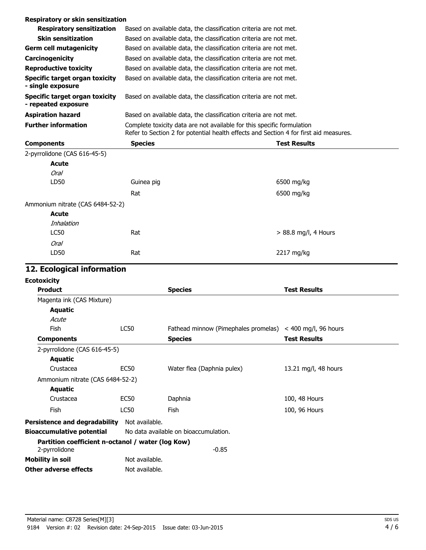| Respiratory or skin sensitization                     |                |                                                                                                                                                                 |
|-------------------------------------------------------|----------------|-----------------------------------------------------------------------------------------------------------------------------------------------------------------|
| <b>Respiratory sensitization</b>                      |                | Based on available data, the classification criteria are not met.                                                                                               |
| <b>Skin sensitization</b>                             |                | Based on available data, the classification criteria are not met.                                                                                               |
| <b>Germ cell mutagenicity</b>                         |                | Based on available data, the classification criteria are not met.                                                                                               |
| Carcinogenicity                                       |                | Based on available data, the classification criteria are not met.                                                                                               |
| <b>Reproductive toxicity</b>                          |                | Based on available data, the classification criteria are not met.                                                                                               |
| Specific target organ toxicity<br>- single exposure   |                | Based on available data, the classification criteria are not met.                                                                                               |
| Specific target organ toxicity<br>- repeated exposure |                | Based on available data, the classification criteria are not met.                                                                                               |
| <b>Aspiration hazard</b>                              |                | Based on available data, the classification criteria are not met.                                                                                               |
| <b>Further information</b>                            |                | Complete toxicity data are not available for this specific formulation<br>Refer to Section 2 for potential health effects and Section 4 for first aid measures. |
| <b>Components</b>                                     | <b>Species</b> | <b>Test Results</b>                                                                                                                                             |
| 2-pyrrolidone (CAS 616-45-5)                          |                |                                                                                                                                                                 |
| <b>Acute</b>                                          |                |                                                                                                                                                                 |
| Oral                                                  |                |                                                                                                                                                                 |
| . 55                                                  | Andreas and an | $200 - 11 - 1$                                                                                                                                                  |

| LD50                             | Guinea pig | 6500 mg/kg             |
|----------------------------------|------------|------------------------|
|                                  | Rat        | 6500 mg/kg             |
| Ammonium nitrate (CAS 6484-52-2) |            |                        |
| Acute                            |            |                        |
| Inhalation                       |            |                        |
| LC50                             | Rat        | $> 88.8$ mg/l, 4 Hours |
| Oral                             |            |                        |
| LD50                             | Rat        | 2217 mg/kg             |
|                                  |            |                        |

# **12. Ecological information**

| <b>Ecotoxicity</b>                                                 |                  |                                                               |                      |
|--------------------------------------------------------------------|------------------|---------------------------------------------------------------|----------------------|
| <b>Product</b>                                                     |                  | <b>Species</b>                                                | <b>Test Results</b>  |
| Magenta ink (CAS Mixture)                                          |                  |                                                               |                      |
| Aquatic                                                            |                  |                                                               |                      |
| Acute                                                              |                  |                                                               |                      |
| Fish                                                               | <b>LC50</b>      | Fathead minnow (Pimephales promelas) $\lt$ 400 mg/l, 96 hours |                      |
| <b>Components</b>                                                  |                  | <b>Species</b>                                                | <b>Test Results</b>  |
| 2-pyrrolidone (CAS 616-45-5)                                       |                  |                                                               |                      |
| Aquatic                                                            |                  |                                                               |                      |
| Crustacea                                                          | EC50             | Water flea (Daphnia pulex)                                    | 13.21 mg/l, 48 hours |
| Ammonium nitrate (CAS 6484-52-2)                                   |                  |                                                               |                      |
| Aquatic                                                            |                  |                                                               |                      |
| Crustacea                                                          | EC <sub>50</sub> | Daphnia                                                       | 100, 48 Hours        |
| <b>Fish</b>                                                        | LC50             | Fish                                                          | 100, 96 Hours        |
| Persistence and degradability                                      | Not available.   |                                                               |                      |
| <b>Bioaccumulative potential</b>                                   |                  | No data available on bioaccumulation.                         |                      |
| Partition coefficient n-octanol / water (log Kow)<br>2-pyrrolidone |                  | $-0.85$                                                       |                      |
| <b>Mobility in soil</b>                                            | Not available.   |                                                               |                      |
| Other adverse effects                                              | Not available.   |                                                               |                      |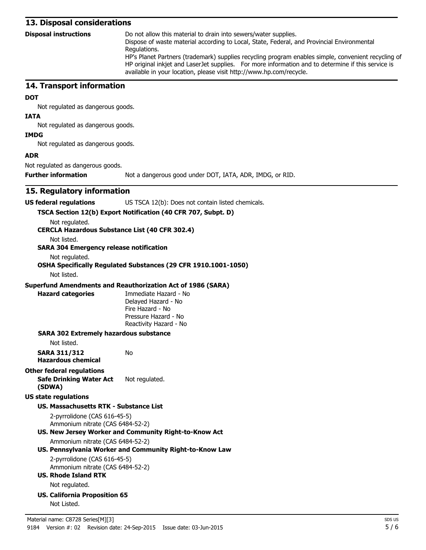#### **13. Disposal considerations**

**Disposal instructions** Do not allow this material to drain into sewers/water supplies.

Dispose of waste material according to Local, State, Federal, and Provincial Environmental Regulations.

HP's Planet Partners (trademark) supplies recycling program enables simple, convenient recycling of HP original inkjet and LaserJet supplies. For more information and to determine if this service is available in your location, please visit http://www.hp.com/recycle.

#### **14. Transport information**

#### **DOT**

Not regulated as dangerous goods.

#### **IATA**

Not regulated as dangerous goods.

# Not regulated as dangerous goods.

**IMDG**

**ADR**

Not regulated as dangerous goods.

**Further information** Not a dangerous good under DOT, IATA, ADR, IMDG, or RID.

#### **15. Regulatory information**

| US federal regulations | US TSCA 12(b): Does not contain listed chemicals. |
|------------------------|---------------------------------------------------|
|                        |                                                   |

#### **TSCA Section 12(b) Export Notification (40 CFR 707, Subpt. D)**

Not regulated.

**CERCLA Hazardous Substance List (40 CFR 302.4)**

Not listed.

#### **SARA 304 Emergency release notification**

Not regulated.

### **OSHA Specifically Regulated Substances (29 CFR 1910.1001-1050)**

Not listed.

#### **Superfund Amendments and Reauthorization Act of 1986 (SARA)**

No

**Hazard categories** Immediate Hazard - No Delayed Hazard - No Fire Hazard - No Pressure Hazard - No Reactivity Hazard - No

#### **SARA 302 Extremely hazardous substance**

Not listed.

**SARA 311/312 Hazardous chemical**

#### **Other federal regulations**

**Safe Drinking Water Act (SDWA)** Not regulated.

#### **US state regulations**

#### **US. Massachusetts RTK - Substance List**

2-pyrrolidone (CAS 616-45-5) Ammonium nitrate (CAS 6484-52-2)

#### **US. New Jersey Worker and Community Right-to-Know Act**

Ammonium nitrate (CAS 6484-52-2)

#### **US. Pennsylvania Worker and Community Right-to-Know Law**

2-pyrrolidone (CAS 616-45-5) Ammonium nitrate (CAS 6484-52-2)

- **US. Rhode Island RTK** Not regulated.
- **US. California Proposition 65** Not Listed.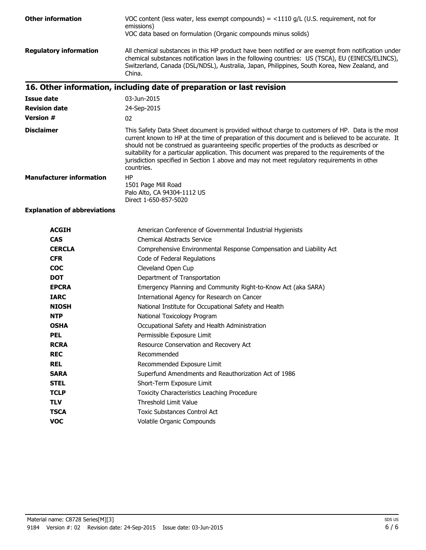| <b>Other information</b>            | VOC content (less water, less exempt compounds) = $\langle$ 1110 g/L (U.S. requirement, not for<br>emissions)<br>VOC data based on formulation (Organic compounds minus solids)                                                                                                                                                                                                                                                                                                                                      |
|-------------------------------------|----------------------------------------------------------------------------------------------------------------------------------------------------------------------------------------------------------------------------------------------------------------------------------------------------------------------------------------------------------------------------------------------------------------------------------------------------------------------------------------------------------------------|
| <b>Regulatory information</b>       | All chemical substances in this HP product have been notified or are exempt from notification under<br>chemical substances notification laws in the following countries: US (TSCA), EU (EINECS/ELINCS),<br>Switzerland, Canada (DSL/NDSL), Australia, Japan, Philippines, South Korea, New Zealand, and<br>China.                                                                                                                                                                                                    |
|                                     | 16. Other information, including date of preparation or last revision                                                                                                                                                                                                                                                                                                                                                                                                                                                |
| Issue date                          | 03-Jun-2015                                                                                                                                                                                                                                                                                                                                                                                                                                                                                                          |
| <b>Revision date</b>                | 24-Sep-2015                                                                                                                                                                                                                                                                                                                                                                                                                                                                                                          |
| <b>Version #</b>                    | 02                                                                                                                                                                                                                                                                                                                                                                                                                                                                                                                   |
| <b>Disclaimer</b>                   | This Safety Data Sheet document is provided without charge to customers of HP. Data is the most<br>current known to HP at the time of preparation of this document and is believed to be accurate. It<br>should not be construed as guaranteeing specific properties of the products as described or<br>suitability for a particular application. This document was prepared to the requirements of the<br>jurisdiction specified in Section 1 above and may not meet regulatory requirements in other<br>countries. |
| <b>Manufacturer information</b>     | HP<br>1501 Page Mill Road<br>Palo Alto, CA 94304-1112 US<br>Direct 1-650-857-5020                                                                                                                                                                                                                                                                                                                                                                                                                                    |
| <b>Explanation of abbreviations</b> |                                                                                                                                                                                                                                                                                                                                                                                                                                                                                                                      |
| <b>ACCTU</b>                        | American Conference of Covernmental Industrial Hygionists                                                                                                                                                                                                                                                                                                                                                                                                                                                            |

| <b>ACGIH</b>  | American Conference of Governmental Industrial Hygienists           |
|---------------|---------------------------------------------------------------------|
| <b>CAS</b>    | <b>Chemical Abstracts Service</b>                                   |
| <b>CERCLA</b> | Comprehensive Environmental Response Compensation and Liability Act |
| <b>CFR</b>    | Code of Federal Regulations                                         |
| <b>COC</b>    | Cleveland Open Cup                                                  |
| <b>DOT</b>    | Department of Transportation                                        |
| <b>EPCRA</b>  | Emergency Planning and Community Right-to-Know Act (aka SARA)       |
| <b>IARC</b>   | International Agency for Research on Cancer                         |
| <b>NIOSH</b>  | National Institute for Occupational Safety and Health               |
| <b>NTP</b>    | National Toxicology Program                                         |
| <b>OSHA</b>   | Occupational Safety and Health Administration                       |
| <b>PEL</b>    | Permissible Exposure Limit                                          |
| <b>RCRA</b>   | Resource Conservation and Recovery Act                              |
| <b>REC</b>    | Recommended                                                         |
| <b>REL</b>    | Recommended Exposure Limit                                          |
| <b>SARA</b>   | Superfund Amendments and Reauthorization Act of 1986                |
| <b>STEL</b>   | Short-Term Exposure Limit                                           |
| <b>TCLP</b>   | Toxicity Characteristics Leaching Procedure                         |
| <b>TLV</b>    | Threshold Limit Value                                               |
| <b>TSCA</b>   | <b>Toxic Substances Control Act</b>                                 |
| <b>VOC</b>    | Volatile Organic Compounds                                          |
|               |                                                                     |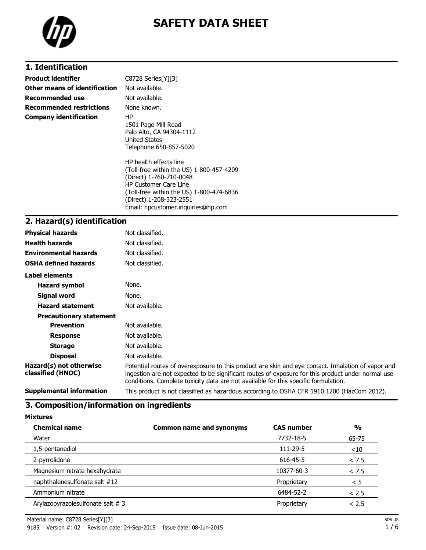

# **SAFETY DATA SHEET**

# **1. Identification**

| <b>Product identifier</b>       | C8728 Series[Y][3]                                                                                                                                                                                                                                                                                                                             |
|---------------------------------|------------------------------------------------------------------------------------------------------------------------------------------------------------------------------------------------------------------------------------------------------------------------------------------------------------------------------------------------|
| Other means of identification   | Not available.                                                                                                                                                                                                                                                                                                                                 |
| <b>Recommended use</b>          | Not available.                                                                                                                                                                                                                                                                                                                                 |
| <b>Recommended restrictions</b> | None known.                                                                                                                                                                                                                                                                                                                                    |
| <b>Company identification</b>   | HP<br>1501 Page Mill Road<br>Palo Alto, CA 94304-1112<br>United States<br>Telephone 650-857-5020<br>HP health effects line<br>(Toll-free within the US) 1-800-457-4209<br>(Direct) 1-760-710-0048<br><b>HP Customer Care Line</b><br>(Toll-free within the US) 1-800-474-6836<br>(Direct) 1-208-323-2551<br>Email: hpcustomer.inguiries@hp.com |

# **2. Hazard(s) identification**

| <b>Physical hazards</b>                      | Not classified.                                                                                                                                                                                                                                                                                |
|----------------------------------------------|------------------------------------------------------------------------------------------------------------------------------------------------------------------------------------------------------------------------------------------------------------------------------------------------|
| <b>Health hazards</b>                        | Not classified.                                                                                                                                                                                                                                                                                |
| <b>Environmental hazards</b>                 | Not classified.                                                                                                                                                                                                                                                                                |
| <b>OSHA defined hazards</b>                  | Not classified.                                                                                                                                                                                                                                                                                |
| Label elements                               |                                                                                                                                                                                                                                                                                                |
| <b>Hazard symbol</b>                         | None.                                                                                                                                                                                                                                                                                          |
| Signal word                                  | None.                                                                                                                                                                                                                                                                                          |
| <b>Hazard statement</b>                      | Not available.                                                                                                                                                                                                                                                                                 |
| <b>Precautionary statement</b>               |                                                                                                                                                                                                                                                                                                |
| <b>Prevention</b>                            | Not available.                                                                                                                                                                                                                                                                                 |
| <b>Response</b>                              | Not available.                                                                                                                                                                                                                                                                                 |
| <b>Storage</b>                               | Not available.                                                                                                                                                                                                                                                                                 |
| <b>Disposal</b>                              | Not available.                                                                                                                                                                                                                                                                                 |
| Hazard(s) not otherwise<br>classified (HNOC) | Potential routes of overexposure to this product are skin and eye contact. Inhalation of vapor and<br>ingestion are not expected to be significant routes of exposure for this product under normal use<br>conditions. Complete toxicity data are not available for this specific formulation. |
| <b>Supplemental information</b>              | This product is not classified as hazardous according to OSHA CFR 1910.1200 (HazCom 2012).                                                                                                                                                                                                     |

#### **3. Composition/information on ingredients**

**Mixtures**

| <b>Chemical name</b>                | <b>Common name and synonyms</b> | <b>CAS number</b> | $\frac{0}{0}$ |
|-------------------------------------|---------------------------------|-------------------|---------------|
| Water                               |                                 | 7732-18-5         | 65-75         |
| 1,5-pentanediol                     |                                 | 111-29-5          | ~10           |
| 2-pyrrolidone                       |                                 | 616-45-5          | < 7.5         |
| Magnesium nitrate hexahydrate       |                                 | 10377-60-3        | < 7.5         |
| naphthalenesulfonate salt #12       |                                 | Proprietary       | < 5           |
| Ammonium nitrate                    |                                 | 6484-52-2         | < 2.5         |
| Arylazopyrazolesulfonate salt $# 3$ |                                 | Proprietary       | < 2.5         |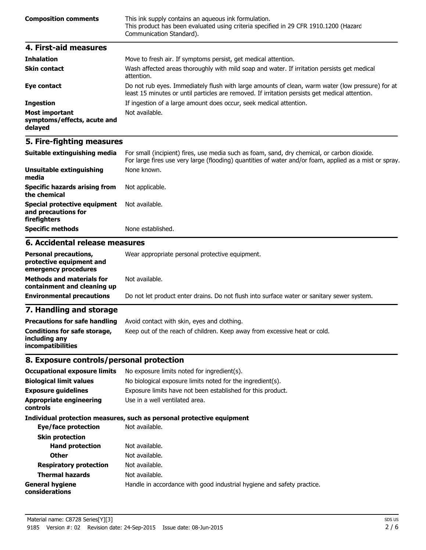| <b>Composition comments</b> | This ink supply contains an aqueous ink formulation.<br>This product has been evaluated using criteria specified in 29 CFR 1910.1200 (Hazard<br>Communication Standard). |
|-----------------------------|--------------------------------------------------------------------------------------------------------------------------------------------------------------------------|
|                             |                                                                                                                                                                          |

| 4. First-aid measures                                    |                                                                                                                                                                                                    |
|----------------------------------------------------------|----------------------------------------------------------------------------------------------------------------------------------------------------------------------------------------------------|
| <b>Inhalation</b>                                        | Move to fresh air. If symptoms persist, get medical attention.                                                                                                                                     |
| <b>Skin contact</b>                                      | Wash affected areas thoroughly with mild soap and water. If irritation persists get medical<br>attention.                                                                                          |
| Eye contact                                              | Do not rub eyes. Immediately flush with large amounts of clean, warm water (low pressure) for at<br>least 15 minutes or until particles are removed. If irritation persists get medical attention. |
| <b>Ingestion</b>                                         | If ingestion of a large amount does occur, seek medical attention.                                                                                                                                 |
| Most important<br>symptoms/effects, acute and<br>delayed | Not available.                                                                                                                                                                                     |

# **5. Fire-fighting measures**

| Suitable extinguishing media                                               | For small (incipient) fires, use media such as foam, sand, dry chemical, or carbon dioxide.<br>For large fires use very large (flooding) quantities of water and/or foam, applied as a mist or spray. |
|----------------------------------------------------------------------------|-------------------------------------------------------------------------------------------------------------------------------------------------------------------------------------------------------|
| Unsuitable extinguishing<br>media                                          | None known.                                                                                                                                                                                           |
| <b>Specific hazards arising from</b><br>the chemical                       | Not applicable.                                                                                                                                                                                       |
| <b>Special protective equipment</b><br>and precautions for<br>firefighters | Not available.                                                                                                                                                                                        |
| Specific methods                                                           | None established.                                                                                                                                                                                     |

# **6. Accidental release measures**

| <b>Personal precautions,</b><br>protective equipment and<br>emergency procedures | Wear appropriate personal protective equipment.                                            |
|----------------------------------------------------------------------------------|--------------------------------------------------------------------------------------------|
| <b>Methods and materials for</b><br>containment and cleaning up                  | Not available.                                                                             |
| <b>Environmental precautions</b>                                                 | Do not let product enter drains. Do not flush into surface water or sanitary sewer system. |

# **7. Handling and storage**

| <b>Precautions for safe handling</b>                                      | Avoid contact with skin, eves and clothing.                               |
|---------------------------------------------------------------------------|---------------------------------------------------------------------------|
| Conditions for safe storage,<br>including any<br><i>incompatibilities</i> | Keep out of the reach of children. Keep away from excessive heat or cold. |

# **8. Exposure controls/personal protection**

| <b>Occupational exposure limits</b>               | No exposure limits noted for ingredient(s).                            |  |  |
|---------------------------------------------------|------------------------------------------------------------------------|--|--|
| <b>Biological limit values</b>                    | No biological exposure limits noted for the ingredient(s).             |  |  |
| <b>Exposure quidelines</b>                        | Exposure limits have not been established for this product.            |  |  |
| <b>Appropriate engineering</b><br><b>controls</b> | Use in a well ventilated area.                                         |  |  |
|                                                   | Individual protection measures, such as personal protective equipment  |  |  |
| Eye/face protection                               | Not available.                                                         |  |  |
| <b>Skin protection</b>                            |                                                                        |  |  |
| <b>Hand protection</b>                            | Not available.                                                         |  |  |
| <b>Other</b>                                      | Not available.                                                         |  |  |
| <b>Respiratory protection</b>                     | Not available.                                                         |  |  |
| <b>Thermal hazards</b>                            | Not available.                                                         |  |  |
| <b>General hygiene</b><br>considerations          | Handle in accordance with good industrial hygiene and safety practice. |  |  |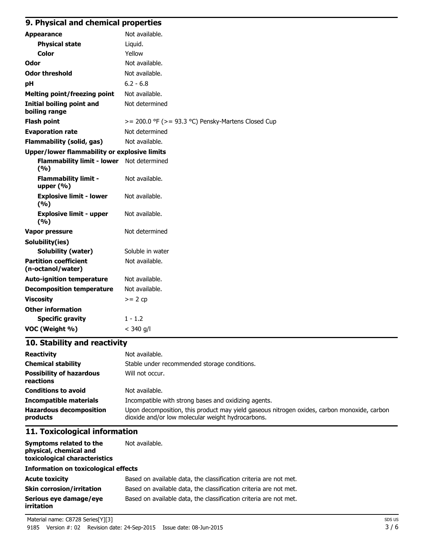### **9. Physical and chemical properties**

| <b>Appearance</b>                                   | Not available.                                          |  |
|-----------------------------------------------------|---------------------------------------------------------|--|
| <b>Physical state</b>                               | Liquid.                                                 |  |
| <b>Color</b>                                        | Yellow                                                  |  |
| Odor                                                | Not available.                                          |  |
| <b>Odor threshold</b>                               | Not available.                                          |  |
| рH                                                  | $6.2 - 6.8$                                             |  |
| <b>Melting point/freezing point</b>                 | Not available.                                          |  |
| <b>Initial boiling point and</b><br>boiling range   | Not determined                                          |  |
| <b>Flash point</b>                                  | $>= 200.0$ °F ( $>= 93.3$ °C) Pensky-Martens Closed Cup |  |
| <b>Evaporation rate</b>                             | Not determined                                          |  |
| <b>Flammability (solid, gas)</b>                    | Not available.                                          |  |
| <b>Upper/lower flammability or explosive limits</b> |                                                         |  |
| Flammability limit - lower Not determined<br>(9/6)  |                                                         |  |
| <b>Flammability limit -</b><br>upper $(% )$         | Not available.                                          |  |
| <b>Explosive limit - lower</b><br>(9/6)             | Not available.                                          |  |
| <b>Explosive limit - upper</b><br>(9/6)             | Not available.                                          |  |
| Vapor pressure                                      | Not determined                                          |  |
| Solubility(ies)                                     |                                                         |  |
| <b>Solubility (water)</b>                           | Soluble in water                                        |  |
| <b>Partition coefficient</b><br>(n-octanol/water)   | Not available.                                          |  |
| <b>Auto-ignition temperature</b>                    | Not available.                                          |  |
| <b>Decomposition temperature</b>                    | Not available.                                          |  |
| <b>Viscosity</b>                                    | $>= 2 cp$                                               |  |
| <b>Other information</b>                            |                                                         |  |
| <b>Specific gravity</b>                             | $1 - 1.2$                                               |  |
| VOC (Weight %)                                      | $<$ 340 g/l                                             |  |

# **10. Stability and reactivity**

| <b>Reactivity</b>                            | Not available.                                                                                                                                   |
|----------------------------------------------|--------------------------------------------------------------------------------------------------------------------------------------------------|
| <b>Chemical stability</b>                    | Stable under recommended storage conditions.                                                                                                     |
| <b>Possibility of hazardous</b><br>reactions | Will not occur.                                                                                                                                  |
| <b>Conditions to avoid</b>                   | Not available.                                                                                                                                   |
| <b>Incompatible materials</b>                | Incompatible with strong bases and oxidizing agents.                                                                                             |
| <b>Hazardous decomposition</b><br>products   | Upon decomposition, this product may yield gaseous nitrogen oxides, carbon monoxide, carbon<br>dioxide and/or low molecular weight hydrocarbons. |

### **11. Toxicological information**

| Symptoms related to the              | Not available. |
|--------------------------------------|----------------|
| physical, chemical and               |                |
| toxicological characteristics        |                |
| Information on toxicological effects |                |

#### **Acute toxicity** Based on available data, the classification criteria are not met. **Skin corrosion/irritation** Based on available data, the classification criteria are not met. **Serious eye damage/eye irritation** Based on available data, the classification criteria are not met.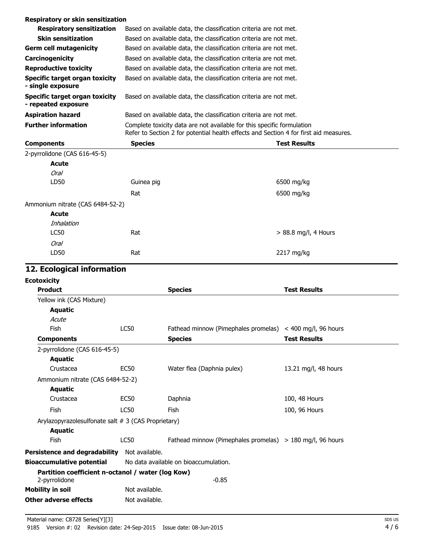| Respiratory or skin sensitization                     |                                                                                                                                                                 |                                                                   |                     |  |  |
|-------------------------------------------------------|-----------------------------------------------------------------------------------------------------------------------------------------------------------------|-------------------------------------------------------------------|---------------------|--|--|
| <b>Respiratory sensitization</b>                      |                                                                                                                                                                 | Based on available data, the classification criteria are not met. |                     |  |  |
| <b>Skin sensitization</b>                             |                                                                                                                                                                 | Based on available data, the classification criteria are not met. |                     |  |  |
| <b>Germ cell mutagenicity</b>                         |                                                                                                                                                                 | Based on available data, the classification criteria are not met. |                     |  |  |
| Carcinogenicity                                       |                                                                                                                                                                 | Based on available data, the classification criteria are not met. |                     |  |  |
| <b>Reproductive toxicity</b>                          |                                                                                                                                                                 | Based on available data, the classification criteria are not met. |                     |  |  |
| Specific target organ toxicity<br>- single exposure   | Based on available data, the classification criteria are not met.                                                                                               |                                                                   |                     |  |  |
| Specific target organ toxicity<br>- repeated exposure | Based on available data, the classification criteria are not met.                                                                                               |                                                                   |                     |  |  |
| <b>Aspiration hazard</b>                              | Based on available data, the classification criteria are not met.                                                                                               |                                                                   |                     |  |  |
| <b>Further information</b>                            | Complete toxicity data are not available for this specific formulation<br>Refer to Section 2 for potential health effects and Section 4 for first aid measures. |                                                                   |                     |  |  |
| <b>Components</b>                                     | <b>Species</b>                                                                                                                                                  |                                                                   | <b>Test Results</b> |  |  |
| 2-pyrrolidone (CAS 616-45-5)                          |                                                                                                                                                                 |                                                                   |                     |  |  |
| <b>Acute</b>                                          |                                                                                                                                                                 |                                                                   |                     |  |  |
| Oral                                                  |                                                                                                                                                                 |                                                                   |                     |  |  |
| LD50                                                  | Guinea pig                                                                                                                                                      |                                                                   | 6500 mg/kg          |  |  |
|                                                       | Rat                                                                                                                                                             |                                                                   | 6500 mg/kg          |  |  |

| Ammonium nitrate (CAS 6484-52-2) |     |                        |
|----------------------------------|-----|------------------------|
| <b>Acute</b>                     |     |                        |
| Inhalation                       |     |                        |
| <b>LC50</b>                      | Rat | $> 88.8$ mg/l, 4 Hours |
| Oral                             |     |                        |
| LD50                             | Rat | 2217 mg/kg             |
|                                  |     |                        |

# **12. Ecological information**

| <b>Ecotoxicity</b>                                  |                |                                                           |                      |
|-----------------------------------------------------|----------------|-----------------------------------------------------------|----------------------|
| <b>Product</b>                                      |                | <b>Species</b>                                            | <b>Test Results</b>  |
| Yellow ink (CAS Mixture)                            |                |                                                           |                      |
| <b>Aquatic</b>                                      |                |                                                           |                      |
| Acute                                               |                |                                                           |                      |
| <b>Fish</b>                                         | <b>LC50</b>    | Fathead minnow (Pimephales promelas) < 400 mg/l, 96 hours |                      |
| <b>Components</b>                                   |                | <b>Species</b>                                            | <b>Test Results</b>  |
| 2-pyrrolidone (CAS 616-45-5)                        |                |                                                           |                      |
| <b>Aquatic</b>                                      |                |                                                           |                      |
| Crustacea                                           | <b>EC50</b>    | Water flea (Daphnia pulex)                                | 13.21 mg/l, 48 hours |
| Ammonium nitrate (CAS 6484-52-2)                    |                |                                                           |                      |
| Aquatic                                             |                |                                                           |                      |
| Crustacea                                           | <b>EC50</b>    | Daphnia                                                   | 100, 48 Hours        |
| <b>Fish</b>                                         | <b>LC50</b>    | Fish                                                      | 100, 96 Hours        |
| Arylazopyrazolesulfonate salt # 3 (CAS Proprietary) |                |                                                           |                      |
| <b>Aquatic</b>                                      |                |                                                           |                      |
| Fish                                                | <b>LC50</b>    | Fathead minnow (Pimephales promelas) > 180 mg/l, 96 hours |                      |
| Persistence and degradability                       | Not available. |                                                           |                      |
| <b>Bioaccumulative potential</b>                    |                | No data available on bioaccumulation.                     |                      |
| Partition coefficient n-octanol / water (log Kow)   |                |                                                           |                      |
| 2-pyrrolidone                                       |                | $-0.85$                                                   |                      |
| <b>Mobility in soil</b>                             | Not available. |                                                           |                      |
| <b>Other adverse effects</b>                        | Not available. |                                                           |                      |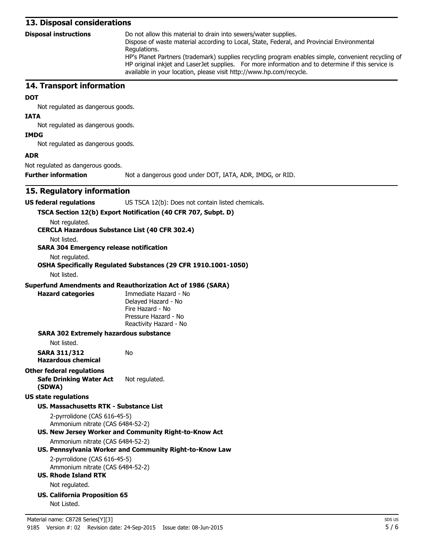#### **13. Disposal considerations**

**Disposal instructions** Do not allow this material to drain into sewers/water supplies.

Dispose of waste material according to Local, State, Federal, and Provincial Environmental Regulations.

HP's Planet Partners (trademark) supplies recycling program enables simple, convenient recycling of HP original inkjet and LaserJet supplies. For more information and to determine if this service is available in your location, please visit http://www.hp.com/recycle.

#### **14. Transport information**

#### **DOT**

Not regulated as dangerous goods.

#### **IATA**

Not regulated as dangerous goods.

# Not regulated as dangerous goods.

**IMDG**

**ADR**

Not regulated as dangerous goods.

**Further information** Not a dangerous good under DOT, IATA, ADR, IMDG, or RID.

#### **15. Regulatory information**

| US TSCA 12(b): Does not contain listed chemicals. |
|---------------------------------------------------|
|                                                   |

#### **TSCA Section 12(b) Export Notification (40 CFR 707, Subpt. D)**

Not regulated.

**CERCLA Hazardous Substance List (40 CFR 302.4)**

Not listed.

#### **SARA 304 Emergency release notification**

Not regulated.

## **OSHA Specifically Regulated Substances (29 CFR 1910.1001-1050)**

Not listed.

#### **Superfund Amendments and Reauthorization Act of 1986 (SARA)**

No

**Hazard categories** Immediate Hazard - No Delayed Hazard - No Fire Hazard - No Pressure Hazard - No Reactivity Hazard - No

#### **SARA 302 Extremely hazardous substance**

Not listed.

**SARA 311/312 Hazardous chemical**

#### **Other federal regulations**

**Safe Drinking Water Act (SDWA)** Not regulated.

#### **US state regulations**

#### **US. Massachusetts RTK - Substance List**

2-pyrrolidone (CAS 616-45-5) Ammonium nitrate (CAS 6484-52-2)

#### **US. New Jersey Worker and Community Right-to-Know Act**

Ammonium nitrate (CAS 6484-52-2)

#### **US. Pennsylvania Worker and Community Right-to-Know Law**

2-pyrrolidone (CAS 616-45-5) Ammonium nitrate (CAS 6484-52-2)

#### **US. Rhode Island RTK** Not regulated.

**US. California Proposition 65** Not Listed.